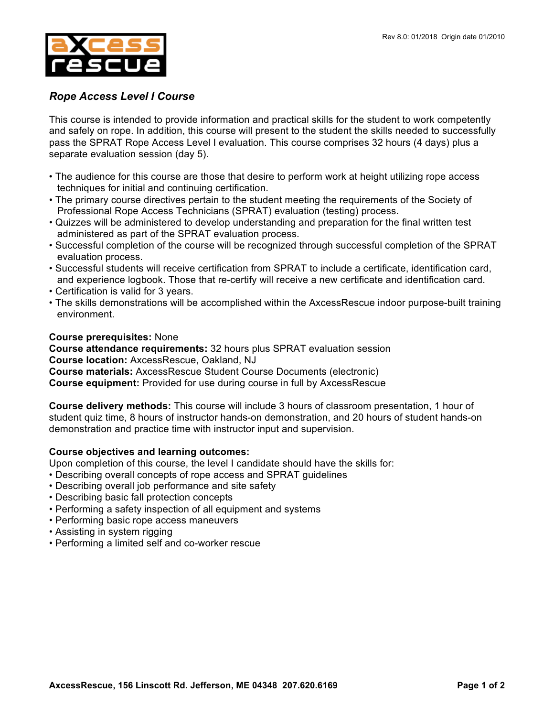

## *Rope Access Level I Course*

This course is intended to provide information and practical skills for the student to work competently and safely on rope. In addition, this course will present to the student the skills needed to successfully pass the SPRAT Rope Access Level I evaluation. This course comprises 32 hours (4 days) plus a separate evaluation session (day 5).

- The audience for this course are those that desire to perform work at height utilizing rope access techniques for initial and continuing certification.
- The primary course directives pertain to the student meeting the requirements of the Society of Professional Rope Access Technicians (SPRAT) evaluation (testing) process.
- Quizzes will be administered to develop understanding and preparation for the final written test administered as part of the SPRAT evaluation process.
- Successful completion of the course will be recognized through successful completion of the SPRAT evaluation process.
- Successful students will receive certification from SPRAT to include a certificate, identification card, and experience logbook. Those that re-certify will receive a new certificate and identification card.
- Certification is valid for 3 years.
- The skills demonstrations will be accomplished within the AxcessRescue indoor purpose-built training environment.

## **Course prerequisites:** None

**Course attendance requirements:** 32 hours plus SPRAT evaluation session **Course location:** AxcessRescue, Oakland, NJ **Course materials:** AxcessRescue Student Course Documents (electronic) **Course equipment:** Provided for use during course in full by AxcessRescue

**Course delivery methods:** This course will include 3 hours of classroom presentation, 1 hour of student quiz time, 8 hours of instructor hands-on demonstration, and 20 hours of student hands-on demonstration and practice time with instructor input and supervision.

## **Course objectives and learning outcomes:**

Upon completion of this course, the level I candidate should have the skills for:

- Describing overall concepts of rope access and SPRAT guidelines
- Describing overall job performance and site safety
- Describing basic fall protection concepts
- Performing a safety inspection of all equipment and systems
- Performing basic rope access maneuvers
- Assisting in system rigging
- Performing a limited self and co-worker rescue